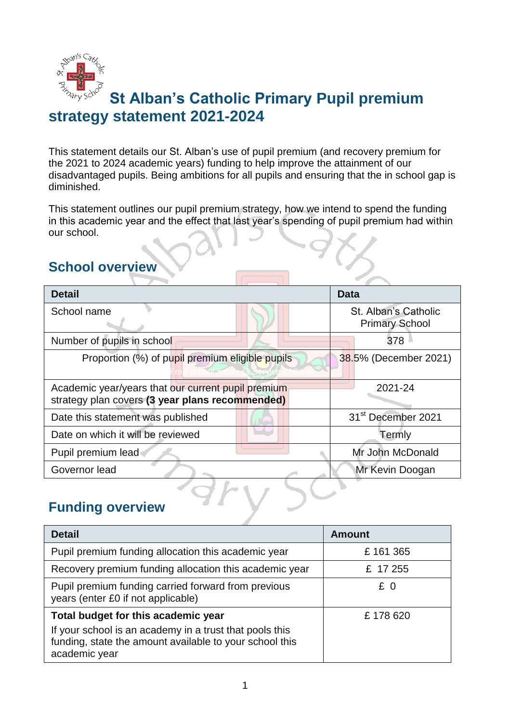

# **St Alban's Catholic Primary Pupil premium strategy statement 2021-2024**

This statement details our St. Alban's use of pupil premium (and recovery premium for the 2021 to 2024 academic years) funding to help improve the attainment of our disadvantaged pupils. Being ambitions for all pupils and ensuring that the in school gap is diminished.

This statement outlines our pupil premium strategy, how we intend to spend the funding in this academic year and the effect that last year's spending of pupil premium had within our school.

### **School overview**

| <b>Detail</b>                                                                                         | Data                                          |
|-------------------------------------------------------------------------------------------------------|-----------------------------------------------|
| School name                                                                                           | St. Alban's Catholic<br><b>Primary School</b> |
| Number of pupils in school                                                                            | 378                                           |
| Proportion (%) of pupil premium eligible pupils                                                       | 38.5% (December 2021)                         |
| Academic year/years that our current pupil premium<br>strategy plan covers (3 year plans recommended) | 2021-24                                       |
| Date this statement was published                                                                     | 31 <sup>st</sup> December 2021                |
| Date on which it will be reviewed                                                                     | Termly                                        |
| Pupil premium lead                                                                                    | Mr John McDonald                              |
| Governor lead                                                                                         | Mr Kevin Doogan                               |

### **Funding overview**

| <b>Detail</b>                                                                                                                       | <b>Amount</b> |
|-------------------------------------------------------------------------------------------------------------------------------------|---------------|
| Pupil premium funding allocation this academic year                                                                                 | £161365       |
| Recovery premium funding allocation this academic year                                                                              | £ 17 255      |
| Pupil premium funding carried forward from previous<br>years (enter £0 if not applicable)                                           | £0            |
| Total budget for this academic year                                                                                                 | £178620       |
| If your school is an academy in a trust that pools this<br>funding, state the amount available to your school this<br>academic year |               |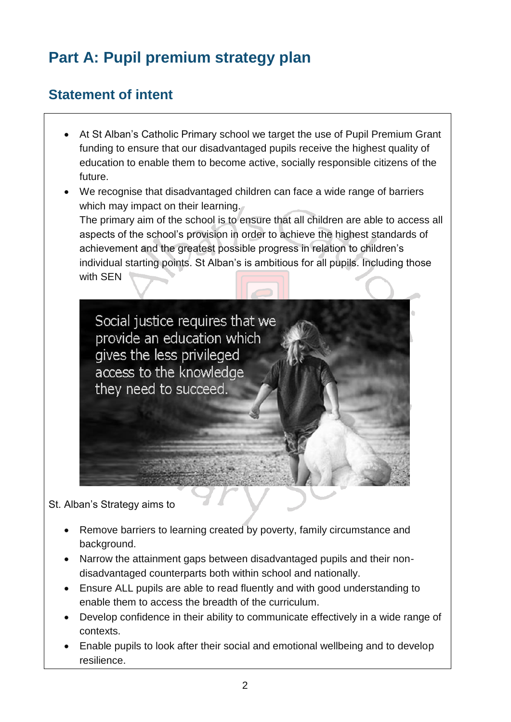# **Part A: Pupil premium strategy plan**

#### **Statement of intent**

- At St Alban's Catholic Primary school we target the use of Pupil Premium Grant funding to ensure that our disadvantaged pupils receive the highest quality of education to enable them to become active, socially responsible citizens of the future.
- We recognise that disadvantaged children can face a wide range of barriers which may impact on their learning. The primary aim of the school is to ensure that all children are able to access all aspects of the school's provision in order to achieve the highest standards of achievement and the greatest possible progress in relation to children's individual starting points. St Alban's is ambitious for all pupils. Including those with SEN



St. Alban's Strategy aims to

- Remove barriers to learning created by poverty, family circumstance and background.
- Narrow the attainment gaps between disadvantaged pupils and their nondisadvantaged counterparts both within school and nationally.
- Ensure ALL pupils are able to read fluently and with good understanding to enable them to access the breadth of the curriculum.
- Develop confidence in their ability to communicate effectively in a wide range of contexts.
- Enable pupils to look after their social and emotional wellbeing and to develop resilience.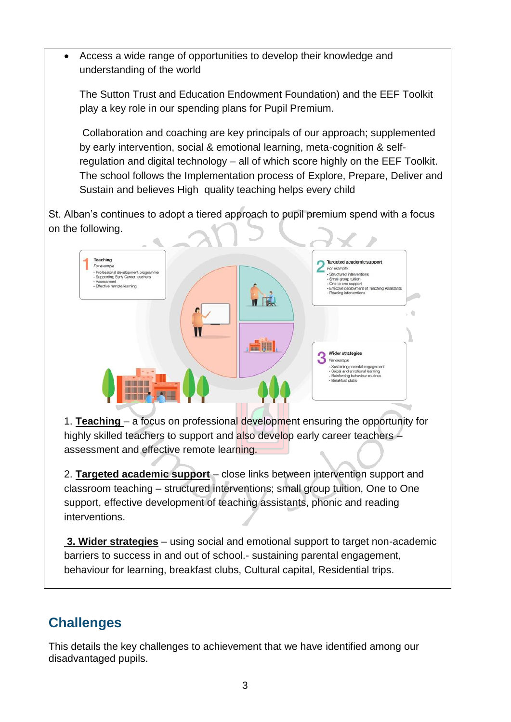Access a wide range of opportunities to develop their knowledge and understanding of the world

The Sutton Trust and Education Endowment Foundation) and the EEF Toolkit play a key role in our spending plans for Pupil Premium.

Collaboration and coaching are key principals of our approach; supplemented by early intervention, social & emotional learning, meta-cognition & selfregulation and digital technology – all of which score highly on the EEF Toolkit. The school follows the Implementation process of Explore, Prepare, Deliver and Sustain and believes High quality teaching helps every child

St. Alban's continues to adopt a tiered approach to pupil premium spend with a focus on the following.



1. **Teaching** – a focus on professional development ensuring the opportunity for highly skilled teachers to support and also develop early career teachers – assessment and effective remote learning.

2. **Targeted academic support** – close links between intervention support and classroom teaching – structured interventions; small group tuition, One to One support, effective development of teaching assistants, phonic and reading interventions.

**3. Wider strategies** – using social and emotional support to target non-academic barriers to success in and out of school.- sustaining parental engagement, behaviour for learning, breakfast clubs, Cultural capital, Residential trips.

#### **Challenges**

This details the key challenges to achievement that we have identified among our disadvantaged pupils.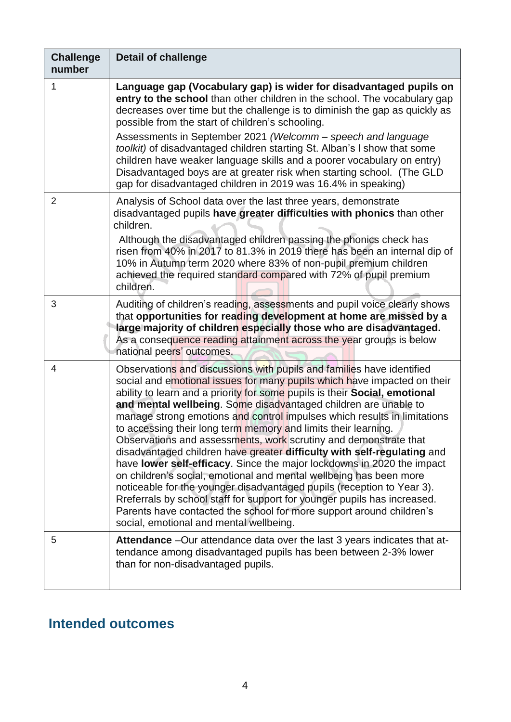| <b>Challenge</b><br>number | <b>Detail of challenge</b>                                                                                                                                                                                                                                                                                                                                                                                                                                                                                                                                                                                                                                                                                                                                                                                                                                                                                                                                                                                               |
|----------------------------|--------------------------------------------------------------------------------------------------------------------------------------------------------------------------------------------------------------------------------------------------------------------------------------------------------------------------------------------------------------------------------------------------------------------------------------------------------------------------------------------------------------------------------------------------------------------------------------------------------------------------------------------------------------------------------------------------------------------------------------------------------------------------------------------------------------------------------------------------------------------------------------------------------------------------------------------------------------------------------------------------------------------------|
| 1                          | Language gap (Vocabulary gap) is wider for disadvantaged pupils on<br>entry to the school than other children in the school. The vocabulary gap<br>decreases over time but the challenge is to diminish the gap as quickly as<br>possible from the start of children's schooling.<br>Assessments in September 2021 (Welcomm – speech and language<br>toolkit) of disadvantaged children starting St. Alban's I show that some<br>children have weaker language skills and a poorer vocabulary on entry)<br>Disadvantaged boys are at greater risk when starting school. (The GLD<br>gap for disadvantaged children in 2019 was 16.4% in speaking)                                                                                                                                                                                                                                                                                                                                                                        |
| $\overline{2}$             | Analysis of School data over the last three years, demonstrate<br>disadvantaged pupils have greater difficulties with phonics than other<br>children.<br>Although the disadvantaged children passing the phonics check has<br>risen from 40% in 2017 to 81.3% in 2019 there has been an internal dip of<br>10% in Autumn term 2020 where 83% of non-pupil premium children<br>achieved the required standard compared with 72% of pupil premium<br>children.                                                                                                                                                                                                                                                                                                                                                                                                                                                                                                                                                             |
| 3                          | Auditing of children's reading, assessments and pupil voice clearly shows<br>that opportunities for reading development at home are missed by a<br>large majority of children especially those who are disadvantaged.<br>As a consequence reading attainment across the year groups is below<br>national peers' outcomes.                                                                                                                                                                                                                                                                                                                                                                                                                                                                                                                                                                                                                                                                                                |
| $\overline{4}$             | Observations and discussions with pupils and families have identified<br>social and emotional issues for many pupils which have impacted on their<br>ability to learn and a priority for some pupils is their Social, emotional<br>and mental wellbeing. Some disadvantaged children are unable to<br>manage strong emotions and control impulses which results in limitations<br>to accessing their long term memory and limits their learning.<br>Observations and assessments, work scrutiny and demonstrate that<br>disadvantaged children have greater difficulty with self-regulating and<br>have lower self-efficacy. Since the major lockdowns in 2020 the impact<br>on children's social, emotional and mental wellbeing has been more<br>noticeable for the younger disadvantaged pupils (reception to Year 3).<br>Rreferrals by school staff for support for younger pupils has increased.<br>Parents have contacted the school for more support around children's<br>social, emotional and mental wellbeing. |
| 5                          | Attendance - Our attendance data over the last 3 years indicates that at-<br>tendance among disadvantaged pupils has been between 2-3% lower<br>than for non-disadvantaged pupils.                                                                                                                                                                                                                                                                                                                                                                                                                                                                                                                                                                                                                                                                                                                                                                                                                                       |

# **Intended outcomes**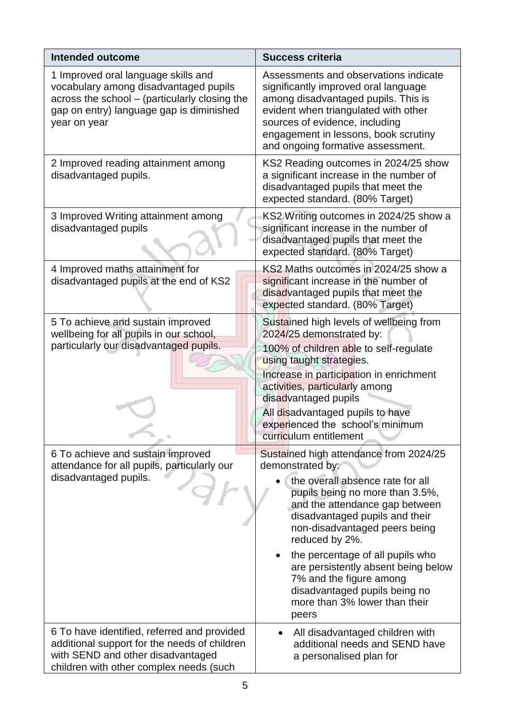| <b>Intended outcome</b>                                                                                                                                                                   | <b>Success criteria</b>                                                                                                                                                                                                                                                                                                                                                                                                                   |
|-------------------------------------------------------------------------------------------------------------------------------------------------------------------------------------------|-------------------------------------------------------------------------------------------------------------------------------------------------------------------------------------------------------------------------------------------------------------------------------------------------------------------------------------------------------------------------------------------------------------------------------------------|
| 1 Improved oral language skills and<br>vocabulary among disadvantaged pupils<br>across the school - (particularly closing the<br>gap on entry) language gap is diminished<br>year on year | Assessments and observations indicate<br>significantly improved oral language<br>among disadvantaged pupils. This is<br>evident when triangulated with other<br>sources of evidence, including<br>engagement in lessons, book scrutiny<br>and ongoing formative assessment.                                                                                                                                                               |
| 2 Improved reading attainment among<br>disadvantaged pupils.                                                                                                                              | KS2 Reading outcomes in 2024/25 show<br>a significant increase in the number of<br>disadvantaged pupils that meet the<br>expected standard. (80% Target)                                                                                                                                                                                                                                                                                  |
| 3 Improved Writing attainment among<br>disadvantaged pupils                                                                                                                               | KS2 Writing outcomes in 2024/25 show a<br>significant increase in the number of<br>disadvantaged pupils that meet the<br>expected standard. (80% Target)                                                                                                                                                                                                                                                                                  |
| 4 Improved maths attainment for<br>disadvantaged pupils at the end of KS2                                                                                                                 | KS2 Maths outcomes in 2024/25 show a<br>significant increase in the number of<br>disadvantaged pupils that meet the<br>expected standard. (80% Target)                                                                                                                                                                                                                                                                                    |
| 5 To achieve and sustain improved<br>wellbeing for all pupils in our school,<br>particularly our disadvantaged pupils.                                                                    | Sustained high levels of wellbeing from<br>2024/25 demonstrated by:<br>100% of children able to self-regulate<br>using taught strategies.<br>Increase in participation in enrichment<br>activities, particularly among<br>disadvantaged pupils<br>All disadvantaged pupils to have<br>experienced the school's minimum<br>curriculum entitlement                                                                                          |
| 6 To achieve and sustain improved<br>attendance for all pupils, particularly our<br>disadvantaged pupils.                                                                                 | Sustained high attendance from 2024/25<br>demonstrated by:<br>the overall absence rate for all<br>pupils being no more than 3.5%,<br>and the attendance gap between<br>disadvantaged pupils and their<br>non-disadvantaged peers being<br>reduced by 2%.<br>the percentage of all pupils who<br>are persistently absent being below<br>7% and the figure among<br>disadvantaged pupils being no<br>more than 3% lower than their<br>peers |
| 6 To have identified, referred and provided<br>additional support for the needs of children<br>with SEND and other disadvantaged<br>children with other complex needs (such               | All disadvantaged children with<br>additional needs and SEND have<br>a personalised plan for                                                                                                                                                                                                                                                                                                                                              |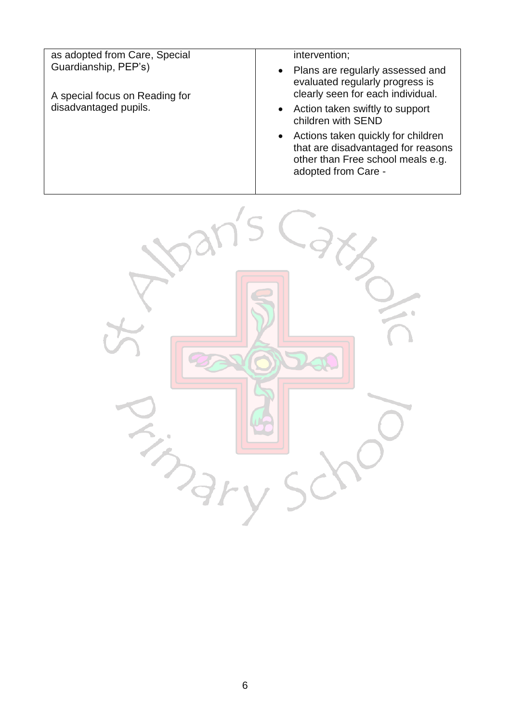| as adopted from Care, Special  | intervention;                                                                                                                        |
|--------------------------------|--------------------------------------------------------------------------------------------------------------------------------------|
| Guardianship, PEP's)           | Plans are regularly assessed and<br>evaluated regularly progress is<br>clearly seen for each individual.                             |
| A special focus on Reading for |                                                                                                                                      |
| disadvantaged pupils.          | Action taken swiftly to support<br>children with SEND                                                                                |
|                                | Actions taken quickly for children<br>that are disadvantaged for reasons<br>other than Free school meals e.g.<br>adopted from Care - |

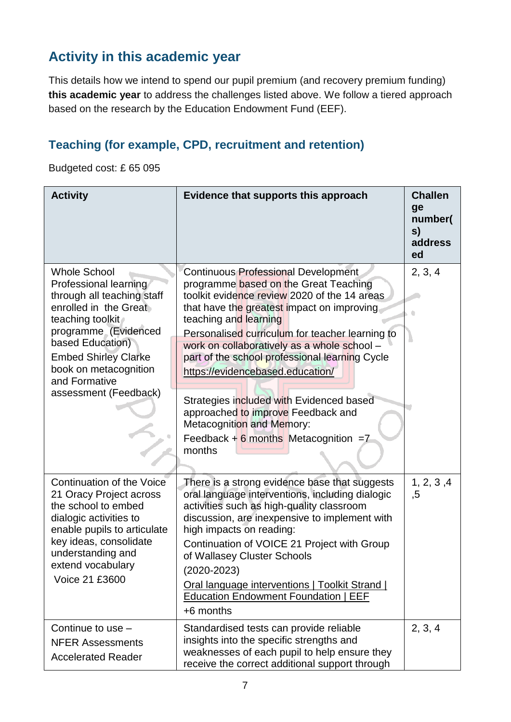#### **Activity in this academic year**

This details how we intend to spend our pupil premium (and recovery premium funding) **this academic year** to address the challenges listed above. We follow a tiered approach based on the research by the Education Endowment Fund (EEF).

#### **Teaching (for example, CPD, recruitment and retention)**

Budgeted cost: £ 65 095

| <b>Activity</b>                                                                                                                                                                                                                                                       | Evidence that supports this approach                                                                                                                                                                                                                                                                                                                                                                                                                                                                                                                                  | <b>Challen</b><br>ge<br>number(<br>s)<br>address<br>ed |
|-----------------------------------------------------------------------------------------------------------------------------------------------------------------------------------------------------------------------------------------------------------------------|-----------------------------------------------------------------------------------------------------------------------------------------------------------------------------------------------------------------------------------------------------------------------------------------------------------------------------------------------------------------------------------------------------------------------------------------------------------------------------------------------------------------------------------------------------------------------|--------------------------------------------------------|
| <b>Whole School</b><br>Professional learning<br>through all teaching staff<br>enrolled in the Great<br>teaching toolkit<br>programme (Evidenced<br>based Education)<br><b>Embed Shirley Clarke</b><br>book on metacognition<br>and Formative<br>assessment (Feedback) | <b>Continuous Professional Development</b><br>programme based on the Great Teaching<br>toolkit evidence review 2020 of the 14 areas<br>that have the greatest impact on improving<br>teaching and learning<br>Personalised curriculum for teacher learning to<br>work on collaboratively as a whole school -<br>part of the school professional learning Cycle<br>https://evidencebased.education/<br>Strategies included with Evidenced based<br>approached to improve Feedback and<br>Metacognition and Memory:<br>Feedback $+ 6$ months Metacognition =7<br>months | 2, 3, 4                                                |
| <b>Continuation of the Voice</b><br>21 Oracy Project across<br>the school to embed<br>dialogic activities to<br>enable pupils to articulate<br>key ideas, consolidate<br>understanding and<br>extend vocabulary<br>Voice 21 £3600                                     | There is a strong evidence base that suggests<br>oral language interventions, including dialogic<br>activities such as high-quality classroom<br>discussion, are inexpensive to implement with<br>high impacts on reading:<br>Continuation of VOICE 21 Project with Group<br>of Wallasey Cluster Schools<br>$(2020 - 2023)$<br>Oral language interventions   Toolkit Strand  <br><b>Education Endowment Foundation   EEF</b><br>+6 months                                                                                                                             | 1, 2, 3, 4<br>,5                                       |
| Continue to use $-$<br><b>NFER Assessments</b><br><b>Accelerated Reader</b>                                                                                                                                                                                           | Standardised tests can provide reliable<br>insights into the specific strengths and<br>weaknesses of each pupil to help ensure they<br>receive the correct additional support through                                                                                                                                                                                                                                                                                                                                                                                 | 2, 3, 4                                                |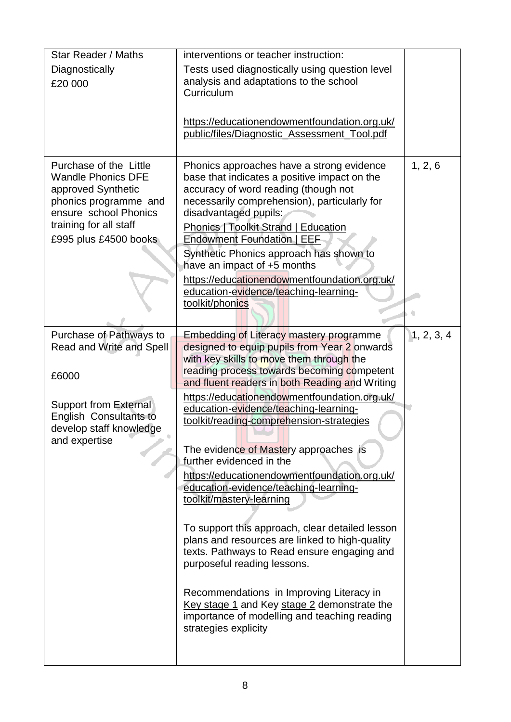| Star Reader / Maths                                           | interventions or teacher instruction:                                                         |            |
|---------------------------------------------------------------|-----------------------------------------------------------------------------------------------|------------|
| Diagnostically                                                | Tests used diagnostically using question level                                                |            |
| £20 000                                                       | analysis and adaptations to the school                                                        |            |
|                                                               | Curriculum                                                                                    |            |
|                                                               |                                                                                               |            |
|                                                               | https://educationendowmentfoundation.org.uk/<br>public/files/Diagnostic_Assessment_Tool.pdf   |            |
|                                                               |                                                                                               |            |
| Purchase of the Little                                        | Phonics approaches have a strong evidence                                                     | 1, 2, 6    |
| <b>Wandle Phonics DFE</b>                                     | base that indicates a positive impact on the                                                  |            |
| approved Synthetic                                            | accuracy of word reading (though not                                                          |            |
| phonics programme and<br>ensure school Phonics                | necessarily comprehension), particularly for<br>disadvantaged pupils:                         |            |
| training for all staff                                        | <b>Phonics   Toolkit Strand   Education</b>                                                   |            |
| £995 plus £4500 books                                         | <b>Endowment Foundation   EEF</b>                                                             |            |
|                                                               | Synthetic Phonics approach has shown to                                                       |            |
|                                                               | have an impact of +5 months                                                                   |            |
|                                                               | https://educationendowmentfoundation.org.uk/                                                  |            |
|                                                               | education-evidence/teaching-learning-                                                         |            |
|                                                               | toolkit/phonics                                                                               |            |
|                                                               |                                                                                               |            |
| Purchase of Pathways to                                       | <b>Embedding of Literacy mastery programme</b>                                                | 1, 2, 3, 4 |
| Read and Write and Spell                                      | designed to equip pupils from Year 2 onwards<br>with key skills to move them through the      |            |
|                                                               | reading process towards becoming competent                                                    |            |
| £6000                                                         | and fluent readers in both Reading and Writing                                                |            |
|                                                               | https://educationendowmentfoundation.org.uk/                                                  |            |
| <b>Support from External</b><br><b>English Consultants to</b> | education-evidence/teaching-learning-                                                         |            |
| develop staff knowledge                                       | toolkit/reading-comprehension-strategies                                                      |            |
| and expertise                                                 |                                                                                               |            |
|                                                               | The evidence of Mastery approaches is<br>further evidenced in the                             |            |
|                                                               | https://educationendowmentfoundation.org.uk/                                                  |            |
|                                                               | education-evidence/teaching-learning-                                                         |            |
|                                                               | toolkit/mastery-learning                                                                      |            |
|                                                               |                                                                                               |            |
|                                                               | To support this approach, clear detailed lesson                                               |            |
|                                                               | plans and resources are linked to high-quality<br>texts. Pathways to Read ensure engaging and |            |
|                                                               | purposeful reading lessons.                                                                   |            |
|                                                               |                                                                                               |            |
|                                                               | Recommendations in Improving Literacy in                                                      |            |
|                                                               | Key stage 1 and Key stage 2 demonstrate the                                                   |            |
|                                                               | importance of modelling and teaching reading                                                  |            |
|                                                               | strategies explicity                                                                          |            |
|                                                               |                                                                                               |            |
|                                                               |                                                                                               |            |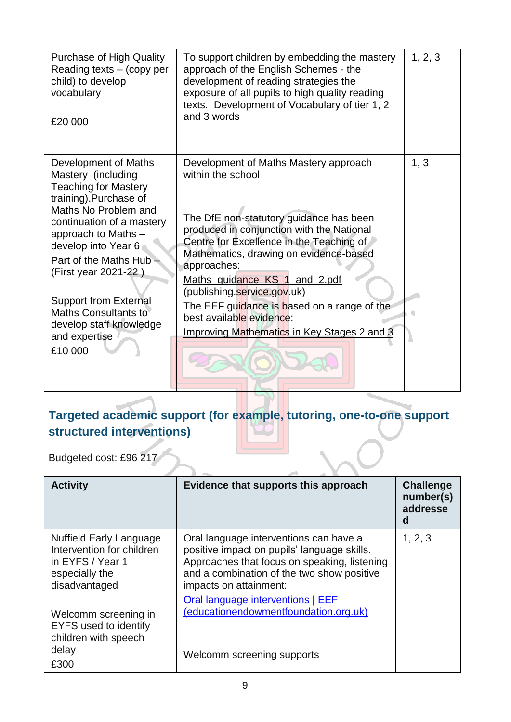| <b>Purchase of High Quality</b><br>Reading texts $-$ (copy per<br>child) to develop<br>vocabulary<br>£20 000                                                                                                                                                                                                                                                                 | To support children by embedding the mastery<br>approach of the English Schemes - the<br>development of reading strategies the<br>exposure of all pupils to high quality reading<br>texts. Development of Vocabulary of tier 1, 2<br>and 3 words                                                                                                                                                                                                         | 1, 2, 3 |
|------------------------------------------------------------------------------------------------------------------------------------------------------------------------------------------------------------------------------------------------------------------------------------------------------------------------------------------------------------------------------|----------------------------------------------------------------------------------------------------------------------------------------------------------------------------------------------------------------------------------------------------------------------------------------------------------------------------------------------------------------------------------------------------------------------------------------------------------|---------|
| Development of Maths<br>Mastery (including<br><b>Teaching for Mastery</b><br>training).Purchase of<br>Maths No Problem and<br>continuation of a mastery<br>approach to Maths -<br>develop into Year 6<br>Part of the Maths Hub<br>(First year 2021-22)<br><b>Support from External</b><br><b>Maths Consultants to</b><br>develop staff knowledge<br>and expertise<br>£10 000 | Development of Maths Mastery approach<br>within the school<br>The DfE non-statutory guidance has been<br>produced in conjunction with the National<br>Centre for Excellence in the Teaching of<br>Mathematics, drawing on evidence-based<br>approaches:<br>Maths_guidance_KS_1_and_2.pdf<br>(publishing.service.gov.uk)<br>The EEF guidance is based on a range of the<br>best available evidence:<br><b>Improving Mathematics in Key Stages 2 and 3</b> | 1, 3    |
|                                                                                                                                                                                                                                                                                                                                                                              |                                                                                                                                                                                                                                                                                                                                                                                                                                                          |         |

#### **Targeted academic support (for example, tutoring, one-to-one support structured interventions)**

Budgeted cost: £96 217

| <b>Activity</b>                                                                                                    | Evidence that supports this approach                                                                                                                                                                          | <b>Challenge</b><br>number(s)<br>addresse<br>d |
|--------------------------------------------------------------------------------------------------------------------|---------------------------------------------------------------------------------------------------------------------------------------------------------------------------------------------------------------|------------------------------------------------|
| <b>Nuffield Early Language</b><br>Intervention for children<br>in EYFS / Year 1<br>especially the<br>disadvantaged | Oral language interventions can have a<br>positive impact on pupils' language skills.<br>Approaches that focus on speaking, listening<br>and a combination of the two show positive<br>impacts on attainment: | 1, 2, 3                                        |
| Welcomm screening in<br><b>EYFS</b> used to identify<br>children with speech<br>delay<br>£300                      | Oral language interventions   EEF<br>(educationendowmentfoundation.org.uk)<br>Welcomm screening supports                                                                                                      |                                                |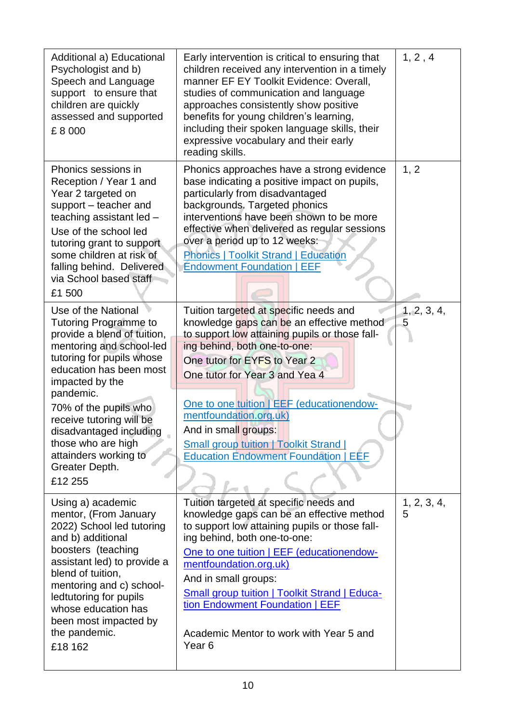| Additional a) Educational<br>Psychologist and b)<br>Speech and Language<br>support to ensure that<br>children are quickly<br>assessed and supported<br>£8000                                                                                                                                                                                                       | Early intervention is critical to ensuring that<br>children received any intervention in a timely<br>manner EF EY Toolkit Evidence: Overall,<br>studies of communication and language<br>approaches consistently show positive<br>benefits for young children's learning,<br>including their spoken language skills, their<br>expressive vocabulary and their early<br>reading skills.                                                 | 1, 2, 4          |
|--------------------------------------------------------------------------------------------------------------------------------------------------------------------------------------------------------------------------------------------------------------------------------------------------------------------------------------------------------------------|----------------------------------------------------------------------------------------------------------------------------------------------------------------------------------------------------------------------------------------------------------------------------------------------------------------------------------------------------------------------------------------------------------------------------------------|------------------|
| Phonics sessions in<br>Reception / Year 1 and<br>Year 2 targeted on<br>support - teacher and<br>teaching assistant led -<br>Use of the school led<br>tutoring grant to support<br>some children at risk of<br>falling behind. Delivered<br>via School based staff<br>£1 500                                                                                        | Phonics approaches have a strong evidence<br>base indicating a positive impact on pupils,<br>particularly from disadvantaged<br>backgrounds. Targeted phonics<br>interventions have been shown to be more<br>effective when delivered as regular sessions<br>over a period up to 12 weeks:<br><b>Phonics   Toolkit Strand   Education</b><br><b>Endowment Foundation   EEF</b>                                                         | 1, 2             |
| Use of the National<br><b>Tutoring Programme to</b><br>provide a blend of tuition,<br>mentoring and school-led<br>tutoring for pupils whose<br>education has been most<br>impacted by the<br>pandemic.<br>70% of the pupils who<br>receive tutoring will be<br>disadvantaged including<br>those who are high<br>attainders working to<br>Greater Depth.<br>£12 255 | Tuition targeted at specific needs and<br>knowledge gaps can be an effective method<br>to support low attaining pupils or those fall-<br>ing behind, both one-to-one:<br>One tutor for EYFS to Year 2<br>One tutor for Year 3 and Yea 4<br>One to one tuition   EEF (educationendow-<br>mentfoundation.org.uk)<br>And in small groups:<br><b>Small group tuition   Toolkit Strand  </b><br><b>Education Endowment Foundation   EEF</b> | 1, 2, 3, 4,<br>5 |
| Using a) academic<br>mentor, (From January<br>2022) School led tutoring<br>and b) additional<br>boosters (teaching<br>assistant led) to provide a<br>blend of tuition,<br>mentoring and c) school-<br>ledtutoring for pupils<br>whose education has<br>been most impacted by<br>the pandemic.<br>£18 162                                                           | Tuition targeted at specific needs and<br>knowledge gaps can be an effective method<br>to support low attaining pupils or those fall-<br>ing behind, both one-to-one:<br>One to one tuition   EEF (educationendow-<br>mentfoundation.org.uk)<br>And in small groups:<br><b>Small group tuition   Toolkit Strand   Educa-</b><br>tion Endowment Foundation   EEF<br>Academic Mentor to work with Year 5 and<br>Year <sub>6</sub>        | 1, 2, 3, 4,<br>5 |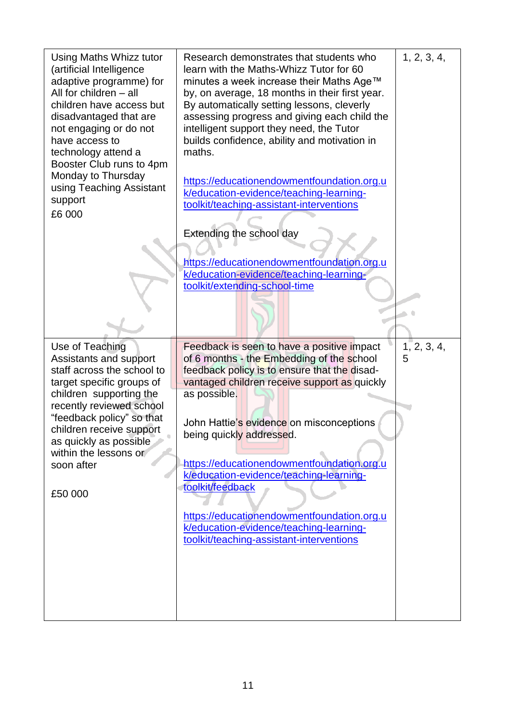| Using Maths Whizz tutor                               | Research demonstrates that students who                                                      | 1, 2, 3, 4, |
|-------------------------------------------------------|----------------------------------------------------------------------------------------------|-------------|
| (artificial Intelligence<br>adaptive programme) for   | learn with the Maths-Whizz Tutor for 60<br>minutes a week increase their Maths Age™          |             |
| All for children - all<br>children have access but    | by, on average, 18 months in their first year.<br>By automatically setting lessons, cleverly |             |
| disadvantaged that are<br>not engaging or do not      | assessing progress and giving each child the<br>intelligent support they need, the Tutor     |             |
| have access to<br>technology attend a                 | builds confidence, ability and motivation in<br>maths.                                       |             |
| Booster Club runs to 4pm<br>Monday to Thursday        |                                                                                              |             |
| using Teaching Assistant                              | https://educationendowmentfoundation.org.u<br>k/education-evidence/teaching-learning-        |             |
| support<br>£6 000                                     | toolkit/teaching-assistant-interventions                                                     |             |
|                                                       | Extending the school day                                                                     |             |
|                                                       | https://educationendowmentfoundation.org.u                                                   |             |
|                                                       | k/education-evidence/teaching-learning-<br>toolkit/extending-school-time                     |             |
|                                                       |                                                                                              |             |
|                                                       |                                                                                              |             |
| Use of Teaching                                       | Feedback is seen to have a positive impact                                                   | 1, 2, 3, 4, |
| Assistants and support<br>staff across the school to  | of 6 months - the Embedding of the school<br>feedback policy is to ensure that the disad-    | 5           |
| target specific groups of                             | vantaged children receive support as quickly                                                 |             |
|                                                       |                                                                                              |             |
| children supporting the<br>recently reviewed school   | as possible.                                                                                 |             |
| "feedback policy" so that<br>children receive support | John Hattie's evidence on misconceptions                                                     |             |
| as quickly as possible                                | being quickly addressed.                                                                     |             |
| within the lessons or<br>soon after                   | https://educationendowmentfoundation.org.u                                                   |             |
|                                                       | k/education-evidence/teaching-learning-<br>toolkit/feedback                                  |             |
| £50 000                                               |                                                                                              |             |
|                                                       | https://educationendowmentfoundation.org.u<br>k/education-evidence/teaching-learning-        |             |
|                                                       | toolkit/teaching-assistant-interventions                                                     |             |
|                                                       |                                                                                              |             |
|                                                       |                                                                                              |             |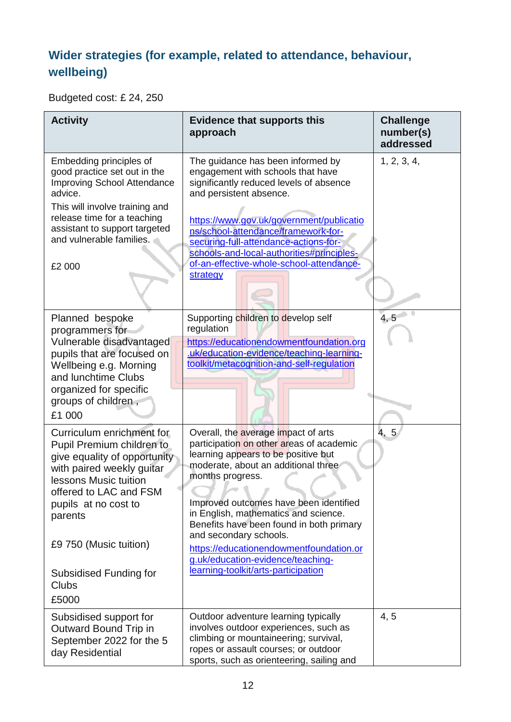#### **Wider strategies (for example, related to attendance, behaviour, wellbeing)**

Budgeted cost: £ 24, 250

| <b>Activity</b>                                                                                                                                                                                                                                                                        | <b>Evidence that supports this</b><br>approach                                                                                                                                                                                                                                                                                                                                                                                                                   | <b>Challenge</b><br>number(s)<br>addressed |
|----------------------------------------------------------------------------------------------------------------------------------------------------------------------------------------------------------------------------------------------------------------------------------------|------------------------------------------------------------------------------------------------------------------------------------------------------------------------------------------------------------------------------------------------------------------------------------------------------------------------------------------------------------------------------------------------------------------------------------------------------------------|--------------------------------------------|
| Embedding principles of<br>good practice set out in the<br><b>Improving School Attendance</b><br>advice.<br>This will involve training and<br>release time for a teaching<br>assistant to support targeted<br>and vulnerable families.<br>£2 000                                       | The guidance has been informed by<br>engagement with schools that have<br>significantly reduced levels of absence<br>and persistent absence.<br>https://www.gov.uk/government/publicatio<br>ns/school-attendance/framework-for-<br>securing-full-attendance-actions-for-<br>schools-and-local-authorities#principles-<br>of-an-effective-whole-school-attendance-<br>strategy                                                                                    | 1, 2, 3, 4,                                |
| Planned bespoke<br>programmers for<br>Vulnerable disadvantaged<br>pupils that are focused on<br>Wellbeing e.g. Morning<br>and lunchtime Clubs<br>organized for specific<br>groups of children,<br>£1 000                                                                               | Supporting children to develop self<br>regulation<br>https://educationendowmentfoundation.org<br>.uk/education-evidence/teaching-learning-<br>toolkit/metacognition-and-self-regulation                                                                                                                                                                                                                                                                          | 4, 5                                       |
| Curriculum enrichment for<br>Pupil Premium children to<br>give equality of opportunity<br>with paired weekly guitar<br>lessons Music tuition<br>offered to LAC and FSM<br>pupils at no cost to<br>parents<br>£9 750 (Music tuition)<br>Subsidised Funding for<br><b>Clubs</b><br>£5000 | Overall, the average impact of arts<br>participation on other areas of academic<br>learning appears to be positive but<br>moderate, about an additional three<br>months progress.<br>Improved outcomes have been identified<br>in English, mathematics and science.<br>Benefits have been found in both primary<br>and secondary schools.<br>https://educationendowmentfoundation.or<br>g.uk/education-evidence/teaching-<br>learning-toolkit/arts-participation | 4, 5                                       |
| Subsidised support for<br>Outward Bound Trip in<br>September 2022 for the 5<br>day Residential                                                                                                                                                                                         | Outdoor adventure learning typically<br>involves outdoor experiences, such as<br>climbing or mountaineering; survival,<br>ropes or assault courses; or outdoor<br>sports, such as orienteering, sailing and                                                                                                                                                                                                                                                      | 4, 5                                       |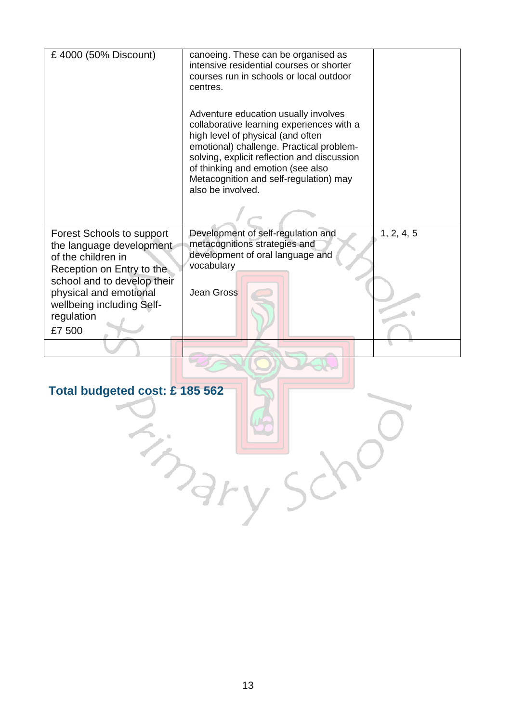| £4000 (50% Discount)                                                                                                                                                                                                          | canoeing. These can be organised as<br>intensive residential courses or shorter<br>courses run in schools or local outdoor<br>centres.<br>Adventure education usually involves<br>collaborative learning experiences with a<br>high level of physical (and often<br>emotional) challenge. Practical problem-<br>solving, explicit reflection and discussion<br>of thinking and emotion (see also<br>Metacognition and self-regulation) may<br>also be involved. |            |
|-------------------------------------------------------------------------------------------------------------------------------------------------------------------------------------------------------------------------------|-----------------------------------------------------------------------------------------------------------------------------------------------------------------------------------------------------------------------------------------------------------------------------------------------------------------------------------------------------------------------------------------------------------------------------------------------------------------|------------|
| <b>Forest Schools to support</b><br>the language development<br>of the children in<br>Reception on Entry to the<br>school and to develop their<br>physical and emotional<br>wellbeing including Self-<br>regulation<br>£7 500 | Development of self-regulation and<br>metacognitions strategies and<br>development of oral language and<br>vocabulary<br>Jean Gross                                                                                                                                                                                                                                                                                                                             | 1, 2, 4, 5 |
| Total budgeted cost: £185 562<br>$S_{2}$                                                                                                                                                                                      |                                                                                                                                                                                                                                                                                                                                                                                                                                                                 |            |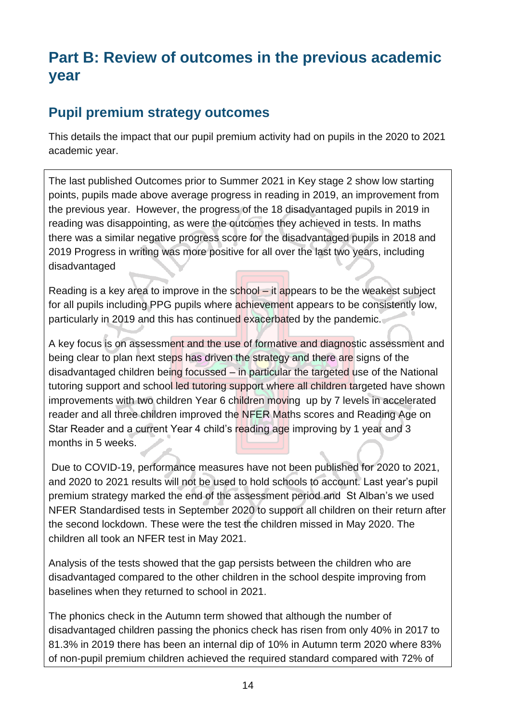# **Part B: Review of outcomes in the previous academic year**

#### **Pupil premium strategy outcomes**

This details the impact that our pupil premium activity had on pupils in the 2020 to 2021 academic year.

The last published Outcomes prior to Summer 2021 in Key stage 2 show low starting points, pupils made above average progress in reading in 2019, an improvement from the previous year. However, the progress of the 18 disadvantaged pupils in 2019 in reading was disappointing, as were the outcomes they achieved in tests. In maths there was a similar negative progress score for the disadvantaged pupils in 2018 and 2019 Progress in writing was more positive for all over the last two years, including disadvantaged

Reading is a key area to improve in the school – it appears to be the weakest subject for all pupils including PPG pupils where achievement appears to be consistently low, particularly in 2019 and this has continued exacerbated by the pandemic.

A key focus is on assessment and the use of formative and diagnostic assessment and being clear to plan next steps has driven the strategy and there are signs of the disadvantaged children being focussed – in particular the targeted use of the National tutoring support and school led tutoring support where all children targeted have shown improvements with two children Year 6 children moving up by 7 levels in accelerated reader and all three children improved the NFER Maths scores and Reading Age on Star Reader and a current Year 4 child's reading age improving by 1 year and 3 months in 5 weeks.

Due to COVID-19, performance measures have not been published for 2020 to 2021, and 2020 to 2021 results will not be used to hold schools to account. Last year's pupil premium strategy marked the end of the assessment period and St Alban's we used NFER Standardised tests in September 2020 to support all children on their return after the second lockdown. These were the test the children missed in May 2020. The children all took an NFER test in May 2021.

Analysis of the tests showed that the gap persists between the children who are disadvantaged compared to the other children in the school despite improving from baselines when they returned to school in 2021.

The phonics check in the Autumn term showed that although the number of disadvantaged children passing the phonics check has risen from only 40% in 2017 to 81.3% in 2019 there has been an internal dip of 10% in Autumn term 2020 where 83% of non-pupil premium children achieved the required standard compared with 72% of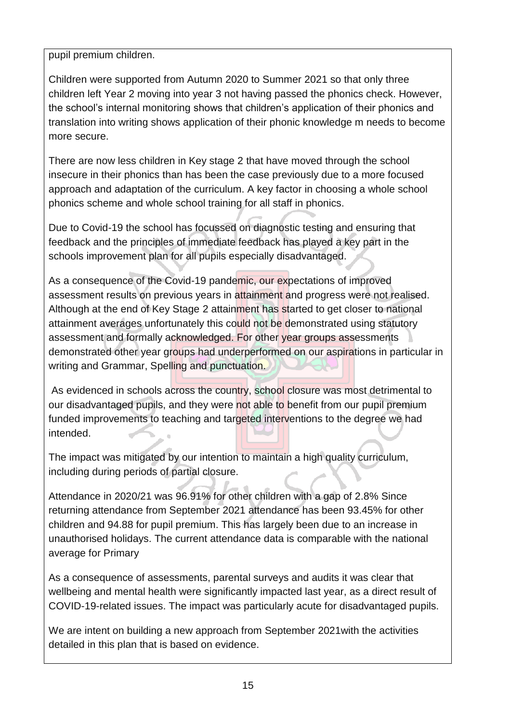pupil premium children.

Children were supported from Autumn 2020 to Summer 2021 so that only three children left Year 2 moving into year 3 not having passed the phonics check. However, the school's internal monitoring shows that children's application of their phonics and translation into writing shows application of their phonic knowledge m needs to become more secure.

There are now less children in Key stage 2 that have moved through the school insecure in their phonics than has been the case previously due to a more focused approach and adaptation of the curriculum. A key factor in choosing a whole school phonics scheme and whole school training for all staff in phonics.

Due to Covid-19 the school has focussed on diagnostic testing and ensuring that feedback and the principles of immediate feedback has played a key part in the schools improvement plan for all pupils especially disadvantaged.

As a consequence of the Covid-19 pandemic, our expectations of improved assessment results on previous years in attainment and progress were not realised. Although at the end of Key Stage 2 attainment has started to get closer to national attainment averages unfortunately this could not be demonstrated using statutory assessment and formally acknowledged. For other year groups assessments demonstrated other year groups had underperformed on our aspirations in particular in writing and Grammar, Spelling and punctuation.

As evidenced in schools across the country, school closure was most detrimental to our disadvantaged pupils, and they were not able to benefit from our pupil premium funded improvements to teaching and targeted interventions to the degree we had intended.

The impact was mitigated by our intention to maintain a high quality curriculum, including during periods of partial closure.

Attendance in 2020/21 was 96.91% for other children with a gap of 2.8% Since returning attendance from September 2021 attendance has been 93.45% for other children and 94.88 for pupil premium. This has largely been due to an increase in unauthorised holidays. The current attendance data is comparable with the national average for Primary

As a consequence of assessments, parental surveys and audits it was clear that wellbeing and mental health were significantly impacted last year, as a direct result of COVID-19-related issues. The impact was particularly acute for disadvantaged pupils.

We are intent on building a new approach from September 2021with the activities detailed in this plan that is based on evidence.